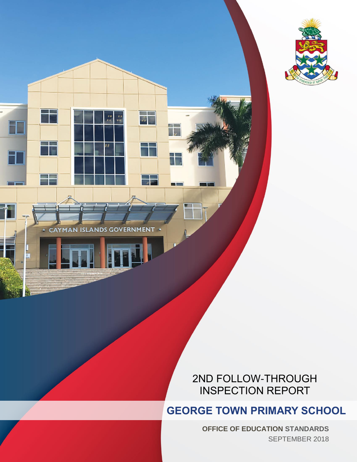

**CAYMAN ISLANDS GOVERNMENT** 

ū

. .

**BE** 

# 2ND FOLLOW-THROUGH INSPECTION REPORT

**GEORGE TOWN PRIMARY SCHOOL**

**OFFICE OF EDUCATION STANDARDS** SEPTEMBER 2018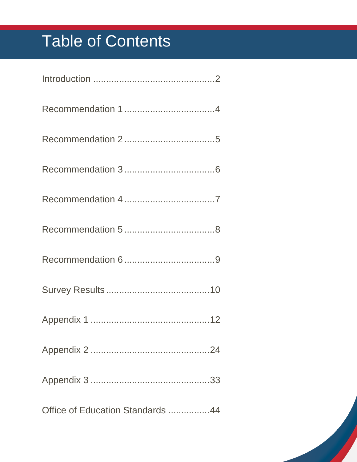# Table of Contents

| Office of Education Standards 44 |
|----------------------------------|

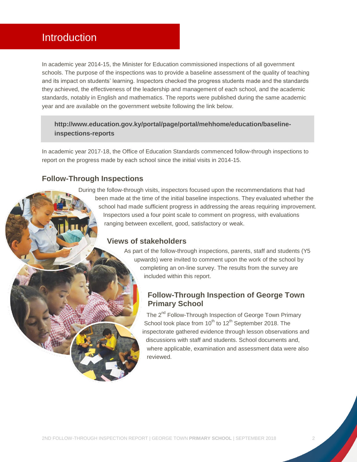# <span id="page-2-0"></span>**Introduction**

In academic year 2014-15, the Minister for Education commissioned inspections of all government schools. The purpose of the inspections was to provide a baseline assessment of the quality of teaching and its impact on students' learning. Inspectors checked the progress students made and the standards they achieved, the effectiveness of the leadership and management of each school, and the academic standards, notably in English and mathematics. The reports were published during the same academic year and are available on the government website following the link below.

#### **[http://www.education.gov.ky/portal/page/portal/mehhome/education/baseline](http://www.education.gov.ky/portal/page/portal/mehhome/education/baseline-inspections-reports)[inspections-reports](http://www.education.gov.ky/portal/page/portal/mehhome/education/baseline-inspections-reports)**

In academic year 2017-18, the Office of Education Standards commenced follow-through inspections to report on the progress made by each school since the initial visits in 2014-15.

#### **Follow-Through Inspections**

During the follow-through visits, inspectors focused upon the recommendations that had been made at the time of the initial baseline inspections. They evaluated whether the school had made sufficient progress in addressing the areas requiring improvement. Inspectors used a four point scale to comment on progress, with evaluations ranging between excellent, good, satisfactory or weak.

#### **Views of stakeholders**

As part of the follow-through inspections, parents, staff and students (Y5 upwards) were invited to comment upon the work of the school by completing an on-line survey. The results from the survey are included within this report.

#### **Follow-Through Inspection of George Town Primary School**

The 2<sup>nd</sup> Follow-Through Inspection of George Town Primary School took place from  $10^{th}$  to  $12^{th}$  September 2018. The inspectorate gathered evidence through lesson observations and discussions with staff and students. School documents and, where applicable, examination and assessment data were also reviewed.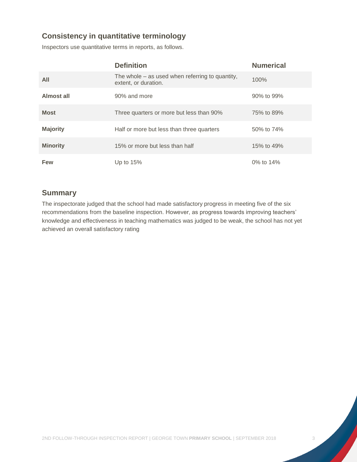# **Consistency in quantitative terminology**

Inspectors use quantitative terms in reports, as follows.

|                 | <b>Definition</b>                                                         | <b>Numerical</b> |
|-----------------|---------------------------------------------------------------------------|------------------|
| All             | The whole $-$ as used when referring to quantity,<br>extent, or duration. | 100%             |
| Almost all      | 90% and more                                                              | 90% to 99%       |
| <b>Most</b>     | Three quarters or more but less than 90%                                  | 75% to 89%       |
| <b>Majority</b> | Half or more but less than three quarters                                 | 50% to 74%       |
| <b>Minority</b> | 15% or more but less than half                                            | 15% to 49%       |
| Few             | Up to $15%$                                                               | 0% to 14%        |

## **Summary**

The inspectorate judged that the school had made satisfactory progress in meeting five of the six recommendations from the baseline inspection. However, as progress towards improving teachers' knowledge and effectiveness in teaching mathematics was judged to be weak, the school has not yet achieved an overall satisfactory rating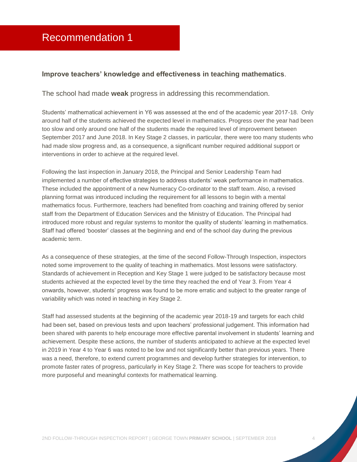#### <span id="page-4-0"></span>**Improve teachers' knowledge and effectiveness in teaching mathematics**.

The school had made **weak** progress in addressing this recommendation.

Students' mathematical achievement in Y6 was assessed at the end of the academic year 2017-18. Only around half of the students achieved the expected level in mathematics. Progress over the year had been too slow and only around one half of the students made the required level of improvement between September 2017 and June 2018. In Key Stage 2 classes, in particular, there were too many students who had made slow progress and, as a consequence, a significant number required additional support or interventions in order to achieve at the required level.

Following the last inspection in January 2018, the Principal and Senior Leadership Team had implemented a number of effective strategies to address students' weak performance in mathematics. These included the appointment of a new Numeracy Co-ordinator to the staff team. Also, a revised planning format was introduced including the requirement for all lessons to begin with a mental mathematics focus. Furthermore, teachers had benefited from coaching and training offered by senior staff from the Department of Education Services and the Ministry of Education. The Principal had introduced more robust and regular systems to monitor the quality of students' learning in mathematics. Staff had offered 'booster' classes at the beginning and end of the school day during the previous academic term.

As a consequence of these strategies, at the time of the second Follow-Through Inspection, inspectors noted some improvement to the quality of teaching in mathematics. Most lessons were satisfactory. Standards of achievement in Reception and Key Stage 1 were judged to be satisfactory because most students achieved at the expected level by the time they reached the end of Year 3. From Year 4 onwards, however, students' progress was found to be more erratic and subject to the greater range of variability which was noted in teaching in Key Stage 2.

Staff had assessed students at the beginning of the academic year 2018-19 and targets for each child had been set, based on previous tests and upon teachers' professional judgement. This information had been shared with parents to help encourage more effective parental involvement in students' learning and achievement. Despite these actions, the number of students anticipated to achieve at the expected level in 2019 in Year 4 to Year 6 was noted to be low and not significantly better than previous years. There was a need, therefore, to extend current programmes and develop further strategies for intervention, to promote faster rates of progress, particularly in Key Stage 2. There was scope for teachers to provide more purposeful and meaningful contexts for mathematical learning.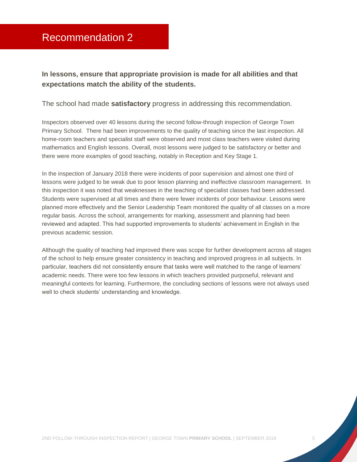<span id="page-5-0"></span>**In lessons, ensure that appropriate provision is made for all abilities and that expectations match the ability of the students.**

The school had made **satisfactory** progress in addressing this recommendation.

Inspectors observed over 40 lessons during the second follow-through inspection of George Town Primary School. There had been improvements to the quality of teaching since the last inspection. All home-room teachers and specialist staff were observed and most class teachers were visited during mathematics and English lessons. Overall, most lessons were judged to be satisfactory or better and there were more examples of good teaching, notably in Reception and Key Stage 1.

In the inspection of January 2018 there were incidents of poor supervision and almost one third of lessons were judged to be weak due to poor lesson planning and ineffective classroom management. In this inspection it was noted that weaknesses in the teaching of specialist classes had been addressed. Students were supervised at all times and there were fewer incidents of poor behaviour. Lessons were planned more effectively and the Senior Leadership Team monitored the quality of all classes on a more regular basis. Across the school, arrangements for marking, assessment and planning had been reviewed and adapted. This had supported improvements to students' achievement in English in the previous academic session.

Although the quality of teaching had improved there was scope for further development across all stages of the school to help ensure greater consistency in teaching and improved progress in all subjects. In particular, teachers did not consistently ensure that tasks were well matched to the range of learners' academic needs. There were too few lessons in which teachers provided purposeful, relevant and meaningful contexts for learning. Furthermore, the concluding sections of lessons were not always used well to check students' understanding and knowledge.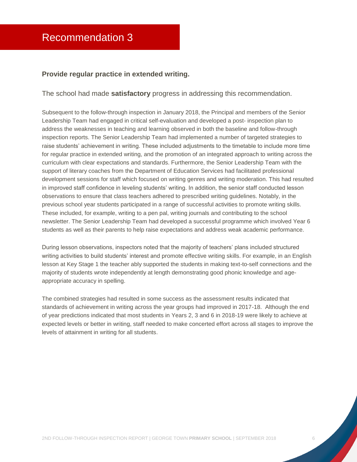#### <span id="page-6-0"></span>**Provide regular practice in extended writing.**

#### The school had made **satisfactory** progress in addressing this recommendation.

Subsequent to the follow-through inspection in January 2018, the Principal and members of the Senior Leadership Team had engaged in critical self-evaluation and developed a post- inspection plan to address the weaknesses in teaching and learning observed in both the baseline and follow-through inspection reports. The Senior Leadership Team had implemented a number of targeted strategies to raise students' achievement in writing. These included adjustments to the timetable to include more time for regular practice in extended writing, and the promotion of an integrated approach to writing across the curriculum with clear expectations and standards. Furthermore, the Senior Leadership Team with the support of literary coaches from the Department of Education Services had facilitated professional development sessions for staff which focused on writing genres and writing moderation. This had resulted in improved staff confidence in leveling students' writing. In addition, the senior staff conducted lesson observations to ensure that class teachers adhered to prescribed writing guidelines. Notably, in the previous school year students participated in a range of successful activities to promote writing skills. These included, for example, writing to a pen pal, writing journals and contributing to the school newsletter. The Senior Leadership Team had developed a successful programme which involved Year 6 students as well as their parents to help raise expectations and address weak academic performance.

During lesson observations, inspectors noted that the majority of teachers' plans included structured writing activities to build students' interest and promote effective writing skills. For example, in an English lesson at Key Stage 1 the teacher ably supported the students in making text-to-self connections and the majority of students wrote independently at length demonstrating good phonic knowledge and ageappropriate accuracy in spelling.

The combined strategies had resulted in some success as the assessment results indicated that standards of achievement in writing across the year groups had improved in 2017-18. Although the end of year predictions indicated that most students in Years 2, 3 and 6 in 2018-19 were likely to achieve at expected levels or better in writing, staff needed to make concerted effort across all stages to improve the levels of attainment in writing for all students.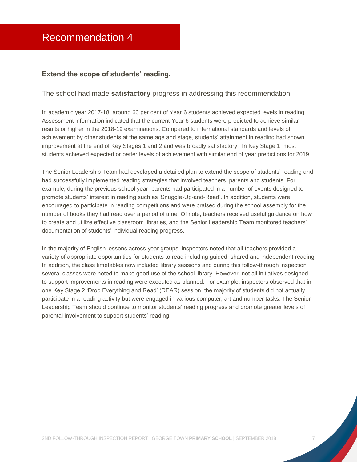#### <span id="page-7-0"></span>**Extend the scope of students' reading.**

#### The school had made **satisfactory** progress in addressing this recommendation.

In academic year 2017-18, around 60 per cent of Year 6 students achieved expected levels in reading. Assessment information indicated that the current Year 6 students were predicted to achieve similar results or higher in the 2018-19 examinations. Compared to international standards and levels of achievement by other students at the same age and stage, students' attainment in reading had shown improvement at the end of Key Stages 1 and 2 and was broadly satisfactory. In Key Stage 1, most students achieved expected or better levels of achievement with similar end of year predictions for 2019.

The Senior Leadership Team had developed a detailed plan to extend the scope of students' reading and had successfully implemented reading strategies that involved teachers, parents and students. For example, during the previous school year, parents had participated in a number of events designed to promote students' interest in reading such as 'Snuggle-Up-and-Read'. In addition, students were encouraged to participate in reading competitions and were praised during the school assembly for the number of books they had read over a period of time. Of note, teachers received useful guidance on how to create and utilize effective classroom libraries, and the Senior Leadership Team monitored teachers' documentation of students' individual reading progress.

In the majority of English lessons across year groups, inspectors noted that all teachers provided a variety of appropriate opportunities for students to read including guided, shared and independent reading. In addition, the class timetables now included library sessions and during this follow-through inspection several classes were noted to make good use of the school library. However, not all initiatives designed to support improvements in reading were executed as planned. For example, inspectors observed that in one Key Stage 2 'Drop Everything and Read' (DEAR) session, the majority of students did not actually participate in a reading activity but were engaged in various computer, art and number tasks. The Senior Leadership Team should continue to monitor students' reading progress and promote greater levels of parental involvement to support students' reading.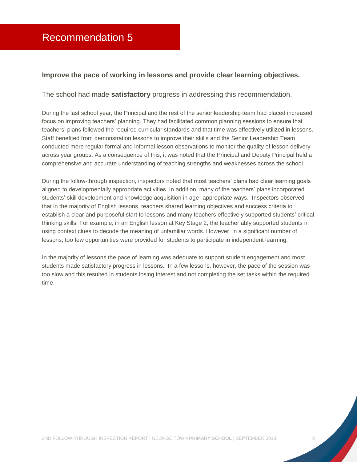#### <span id="page-8-0"></span>**Improve the pace of working in lessons and provide clear learning objectives.**

The school had made **satisfactory** progress in addressing this recommendation.

During the last school year, the Principal and the rest of the senior leadership team had placed increased focus on improving teachers' planning. They had facilitated common planning sessions to ensure that teachers' plans followed the required curricular standards and that time was effectively utilized in lessons. Staff benefited from demonstration lessons to improve their skills and the Senior Leadership Team conducted more regular formal and informal lesson observations to monitor the quality of lesson delivery across year groups. As a consequence of this, it was noted that the Principal and Deputy Principal held a comprehensive and accurate understanding of teaching strengths and weaknesses across the school.

During the follow-through inspection, inspectors noted that most teachers' plans had clear learning goals aligned to developmentally appropriate activities. In addition, many of the teachers' plans incorporated students' skill development and knowledge acquisition in age- appropriate ways. Inspectors observed that in the majority of English lessons, teachers shared learning objectives and success criteria to establish a clear and purposeful start to lessons and many teachers effectively supported students' critical thinking skills. For example, in an English lesson at Key Stage 2, the teacher ably supported students in using context clues to decode the meaning of unfamiliar words. However, in a significant number of lessons, too few opportunities were provided for students to participate in independent learning.

In the majority of lessons the pace of learning was adequate to support student engagement and most students made satisfactory progress in lessons. In a few lessons, however, the pace of the session was too slow and this resulted in students losing interest and not completing the set tasks within the required time.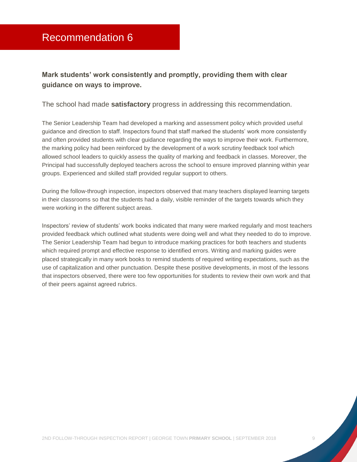# <span id="page-9-0"></span>**Mark students' work consistently and promptly, providing them with clear guidance on ways to improve.**

The school had made **satisfactory** progress in addressing this recommendation.

The Senior Leadership Team had developed a marking and assessment policy which provided useful guidance and direction to staff. Inspectors found that staff marked the students' work more consistently and often provided students with clear guidance regarding the ways to improve their work. Furthermore, the marking policy had been reinforced by the development of a work scrutiny feedback tool which allowed school leaders to quickly assess the quality of marking and feedback in classes. Moreover, the Principal had successfully deployed teachers across the school to ensure improved planning within year groups. Experienced and skilled staff provided regular support to others.

During the follow-through inspection, inspectors observed that many teachers displayed learning targets in their classrooms so that the students had a daily, visible reminder of the targets towards which they were working in the different subject areas.

Inspectors' review of students' work books indicated that many were marked regularly and most teachers provided feedback which outlined what students were doing well and what they needed to do to improve. The Senior Leadership Team had begun to introduce marking practices for both teachers and students which required prompt and effective response to identified errors. Writing and marking guides were placed strategically in many work books to remind students of required writing expectations, such as the use of capitalization and other punctuation. Despite these positive developments, in most of the lessons that inspectors observed, there were too few opportunities for students to review their own work and that of their peers against agreed rubrics.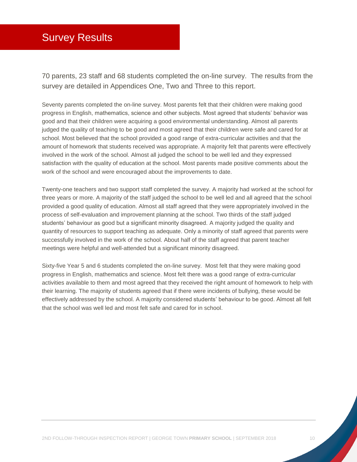# <span id="page-10-0"></span>Survey Results

70 parents, 23 staff and 68 students completed the on-line survey. The results from the survey are detailed in Appendices One, Two and Three to this report.

Seventy parents completed the on-line survey. Most parents felt that their children were making good progress in English, mathematics, science and other subjects. Most agreed that students' behavior was good and that their children were acquiring a good environmental understanding. Almost all parents judged the quality of teaching to be good and most agreed that their children were safe and cared for at school. Most believed that the school provided a good range of extra-curricular activities and that the amount of homework that students received was appropriate. A majority felt that parents were effectively involved in the work of the school. Almost all judged the school to be well led and they expressed satisfaction with the quality of education at the school. Most parents made positive comments about the work of the school and were encouraged about the improvements to date.

Twenty-one teachers and two support staff completed the survey. A majority had worked at the school for three years or more. A majority of the staff judged the school to be well led and all agreed that the school provided a good quality of education. Almost all staff agreed that they were appropriately involved in the process of self-evaluation and improvement planning at the school. Two thirds of the staff judged students' behaviour as good but a significant minority disagreed. A majority judged the quality and quantity of resources to support teaching as adequate. Only a minority of staff agreed that parents were successfully involved in the work of the school. About half of the staff agreed that parent teacher meetings were helpful and well-attended but a significant minority disagreed.

Sixty-five Year 5 and 6 students completed the on-line survey. Most felt that they were making good progress in English, mathematics and science. Most felt there was a good range of extra-curricular activities available to them and most agreed that they received the right amount of homework to help with their learning. The majority of students agreed that if there were incidents of bullying, these would be effectively addressed by the school. A majority considered students' behaviour to be good. Almost all felt that the school was well led and most felt safe and cared for in school.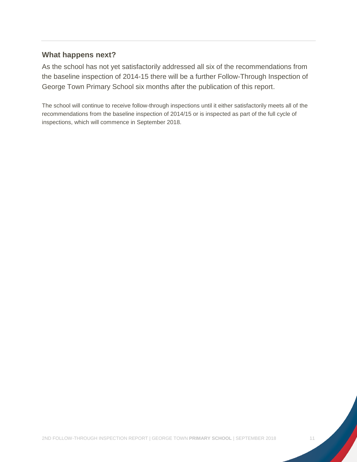#### **What happens next?**

As the school has not yet satisfactorily addressed all six of the recommendations from the baseline inspection of 2014-15 there will be a further Follow-Through Inspection of George Town Primary School six months after the publication of this report.

The school will continue to receive follow-through inspections until it either satisfactorily meets all of the recommendations from the baseline inspection of 2014/15 or is inspected as part of the full cycle of inspections, which will commence in September 2018.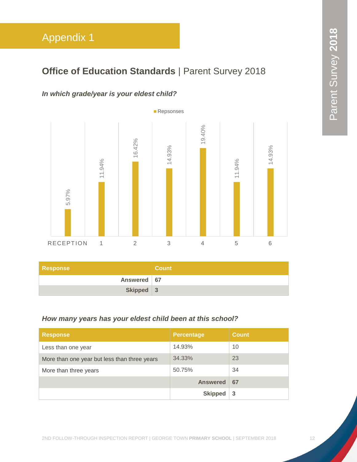# <span id="page-12-0"></span>**Office of Education Standards | Parent Survey 2018**

## *In which grade/year is your eldest child?*



| <b>Response</b> | <b>Count</b> |
|-----------------|--------------|
| Answered   67   |              |
| Skipped 3       |              |

#### *How many years has your eldest child been at this school?*

| <b>Response</b>                              | <b>Percentage</b> | Count |
|----------------------------------------------|-------------------|-------|
| Less than one year                           | 14.93%            | 10    |
| More than one year but less than three years | 34.33%            | 23    |
| More than three years                        | 50.75%            | 34    |
|                                              | <b>Answered</b>   | 67    |
|                                              | <b>Skipped</b>    | -3    |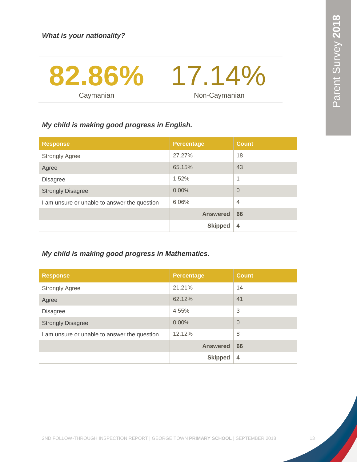

#### *My child is making good progress in English.*

| <b>Response</b>                              | <b>Percentage</b> | <b>Count</b>   |
|----------------------------------------------|-------------------|----------------|
| <b>Strongly Agree</b>                        | 27.27%            | 18             |
| Agree                                        | 65.15%            | 43             |
| <b>Disagree</b>                              | 1.52%             | 1              |
| <b>Strongly Disagree</b>                     | 0.00%             | $\Omega$       |
| I am unsure or unable to answer the question | 6.06%             | $\overline{4}$ |
|                                              | <b>Answered</b>   | 66             |
|                                              | <b>Skipped</b>    | $\overline{4}$ |

## *My child is making good progress in Mathematics.*

| <b>Response</b>                              | <b>Percentage</b> | <b>Count</b> |
|----------------------------------------------|-------------------|--------------|
| <b>Strongly Agree</b>                        | 21.21%            | 14           |
| Agree                                        | 62.12%            | 41           |
| <b>Disagree</b>                              | 4.55%             | 3            |
| <b>Strongly Disagree</b>                     | 0.00%             | $\Omega$     |
| I am unsure or unable to answer the question | 12.12%            | 8            |
|                                              | <b>Answered</b>   | 66           |
|                                              | <b>Skipped</b>    | 4            |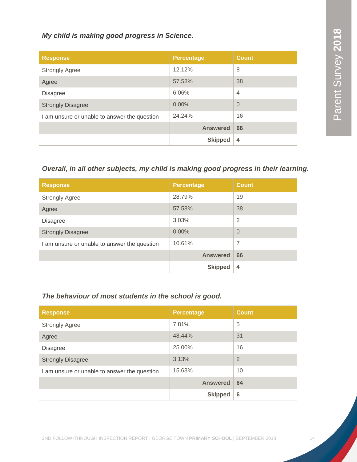#### *My child is making good progress in Science.*

| <b>Response</b>                              | <b>Percentage</b> | <b>Count</b>   |
|----------------------------------------------|-------------------|----------------|
| <b>Strongly Agree</b>                        | 12.12%            | 8              |
| Agree                                        | 57.58%            | 38             |
| <b>Disagree</b>                              | 6.06%             | $\overline{4}$ |
| <b>Strongly Disagree</b>                     | $0.00\%$          | $\overline{0}$ |
| I am unsure or unable to answer the question | 24.24%            | 16             |
|                                              | <b>Answered</b>   | 66             |
|                                              | <b>Skipped</b>    | $\overline{4}$ |

# *Overall, in all other subjects, my child is making good progress in their learning.*

| <b>Response</b>                              | <b>Percentage</b> | <b>Count</b>   |
|----------------------------------------------|-------------------|----------------|
| <b>Strongly Agree</b>                        | 28.79%            | 19             |
| Agree                                        | 57.58%            | 38             |
| <b>Disagree</b>                              | 3.03%             | $\overline{2}$ |
| <b>Strongly Disagree</b>                     | 0.00%             | $\Omega$       |
| I am unsure or unable to answer the question | 10.61%            | 7              |
|                                              | <b>Answered</b>   | 66             |
|                                              | <b>Skipped</b>    | 4              |

#### *The behaviour of most students in the school is good.*

| <b>Response</b>                              | <b>Percentage</b> | <b>Count</b>   |
|----------------------------------------------|-------------------|----------------|
| <b>Strongly Agree</b>                        | 7.81%             | 5              |
| Agree                                        | 48.44%            | 31             |
| <b>Disagree</b>                              | 25.00%            | 16             |
| <b>Strongly Disagree</b>                     | 3.13%             | $\overline{2}$ |
| I am unsure or unable to answer the question | 15.63%            | 10             |
|                                              | <b>Answered</b>   | 64             |
|                                              | <b>Skipped</b>    | 6              |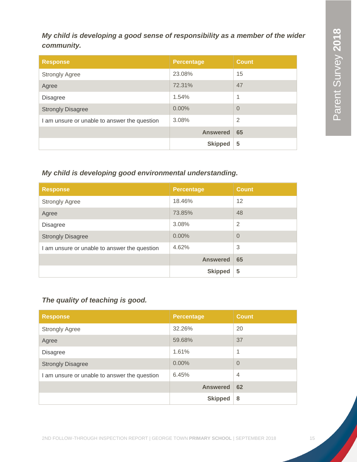# *My child is developing a good sense of responsibility as a member of the wider community.*

| <b>Response</b>                              | <b>Percentage</b> | <b>Count</b>   |
|----------------------------------------------|-------------------|----------------|
| <b>Strongly Agree</b>                        | 23.08%            | 15             |
| Agree                                        | 72.31%            | 47             |
| <b>Disagree</b>                              | 1.54%             | 1              |
| <b>Strongly Disagree</b>                     | 0.00%             | $\Omega$       |
| I am unsure or unable to answer the question | 3.08%             | $\overline{2}$ |
|                                              | <b>Answered</b>   | 65             |
|                                              | <b>Skipped</b>    | 5              |

# *My child is developing good environmental understanding.*

| <b>Response</b>                              | <b>Percentage</b> | <b>Count</b>   |
|----------------------------------------------|-------------------|----------------|
| <b>Strongly Agree</b>                        | 18.46%            | 12             |
| Agree                                        | 73.85%            | 48             |
| <b>Disagree</b>                              | 3.08%             | $\overline{2}$ |
| <b>Strongly Disagree</b>                     | 0.00%             | $\Omega$       |
| I am unsure or unable to answer the question | 4.62%             | 3              |
|                                              | <b>Answered</b>   | 65             |
|                                              | <b>Skipped</b>    | 5              |

# *The quality of teaching is good.*

| <b>Response</b>                              | <b>Percentage</b> | <b>Count</b>   |
|----------------------------------------------|-------------------|----------------|
| <b>Strongly Agree</b>                        | 32.26%            | 20             |
| Agree                                        | 59.68%            | 37             |
| <b>Disagree</b>                              | 1.61%             | 1              |
| <b>Strongly Disagree</b>                     | 0.00%             | $\overline{0}$ |
| I am unsure or unable to answer the question | 6.45%             | $\overline{4}$ |
|                                              | <b>Answered</b>   | 62             |
|                                              | <b>Skipped</b>    | 8              |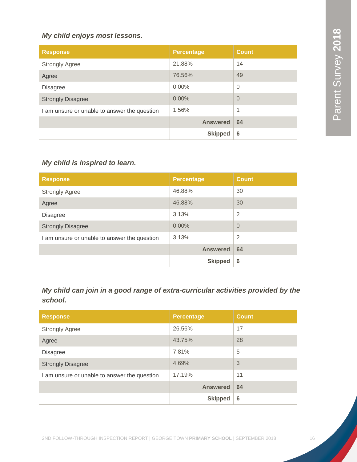#### *My child enjoys most lessons.*

| <b>Response</b>                              | <b>Percentage</b> | <b>Count</b>   |
|----------------------------------------------|-------------------|----------------|
| <b>Strongly Agree</b>                        | 21.88%            | 14             |
| Agree                                        | 76.56%            | 49             |
| <b>Disagree</b>                              | $0.00\%$          | $\overline{0}$ |
| <b>Strongly Disagree</b>                     | 0.00%             | $\overline{0}$ |
| I am unsure or unable to answer the question | 1.56%             | 1              |
|                                              | <b>Answered</b>   | 64             |
|                                              | <b>Skipped</b>    | 6              |

# *My child is inspired to learn.*

| <b>Response</b>                              | <b>Percentage</b> | <b>Count</b>   |
|----------------------------------------------|-------------------|----------------|
| <b>Strongly Agree</b>                        | 46.88%            | 30             |
| Agree                                        | 46.88%            | 30             |
| <b>Disagree</b>                              | 3.13%             | $\overline{2}$ |
| <b>Strongly Disagree</b>                     | 0.00%             | $\overline{0}$ |
| I am unsure or unable to answer the question | 3.13%             | $\overline{2}$ |
|                                              | <b>Answered</b>   | 64             |
|                                              | <b>Skipped</b>    | 6              |

*My child can join in a good range of extra-curricular activities provided by the school.*

| <b>Response</b>                              | <b>Percentage</b> | <b>Count</b> |
|----------------------------------------------|-------------------|--------------|
| <b>Strongly Agree</b>                        | 26.56%            | 17           |
| Agree                                        | 43.75%            | 28           |
| <b>Disagree</b>                              | 7.81%             | 5            |
| <b>Strongly Disagree</b>                     | 4.69%             | 3            |
| I am unsure or unable to answer the question | 17.19%            | 11           |
|                                              | <b>Answered</b>   | 64           |
|                                              | <b>Skipped</b>    | 6            |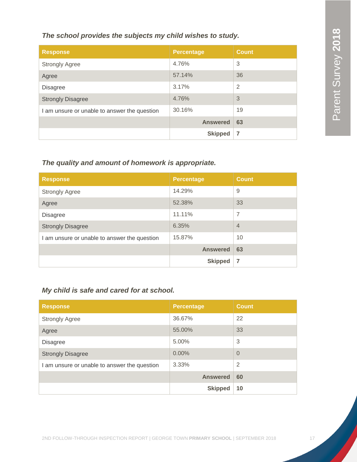#### *The school provides the subjects my child wishes to study.*

| <b>Response</b>                              | <b>Percentage</b> | <b>Count</b>   |
|----------------------------------------------|-------------------|----------------|
| <b>Strongly Agree</b>                        | 4.76%             | 3              |
| Agree                                        | 57.14%            | 36             |
| <b>Disagree</b>                              | 3.17%             | $\overline{2}$ |
| <b>Strongly Disagree</b>                     | 4.76%             | 3              |
| I am unsure or unable to answer the question | 30.16%            | 19             |
|                                              | <b>Answered</b>   | 63             |
|                                              | <b>Skipped</b>    | 7              |

#### *The quality and amount of homework is appropriate.*

| <b>Response</b>                              | <b>Percentage</b> | <b>Count</b>   |
|----------------------------------------------|-------------------|----------------|
| <b>Strongly Agree</b>                        | 14.29%            | 9              |
| Agree                                        | 52.38%            | 33             |
| <b>Disagree</b>                              | 11.11%            | $\overline{7}$ |
| <b>Strongly Disagree</b>                     | 6.35%             | $\overline{4}$ |
| I am unsure or unable to answer the question | 15.87%            | 10             |
|                                              | <b>Answered</b>   | 63             |
|                                              | <b>Skipped</b>    | $\overline{7}$ |

# *My child is safe and cared for at school.*

| <b>Response</b>                              | <b>Percentage</b> | <b>Count</b>   |
|----------------------------------------------|-------------------|----------------|
| <b>Strongly Agree</b>                        | 36.67%            | 22             |
| Agree                                        | 55.00%            | 33             |
| <b>Disagree</b>                              | 5.00%             | 3              |
| <b>Strongly Disagree</b>                     | 0.00%             | $\Omega$       |
| I am unsure or unable to answer the question | 3.33%             | $\overline{2}$ |
|                                              | <b>Answered</b>   | 60             |
|                                              | <b>Skipped</b>    | 10             |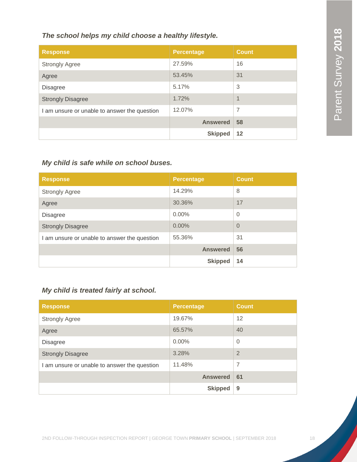#### *The school helps my child choose a healthy lifestyle.*

| <b>Response</b>                              | <b>Percentage</b> | <b>Count</b>             |
|----------------------------------------------|-------------------|--------------------------|
| <b>Strongly Agree</b>                        | 27.59%            | 16                       |
| Agree                                        | 53.45%            | 31                       |
| <b>Disagree</b>                              | 5.17%             | 3                        |
| <b>Strongly Disagree</b>                     | 1.72%             | $\overline{\mathcal{A}}$ |
| I am unsure or unable to answer the question | 12.07%            | 7                        |
|                                              | <b>Answered</b>   | 58                       |
|                                              | <b>Skipped</b>    | 12                       |

## *My child is safe while on school buses.*

| <b>Response</b>                              | <b>Percentage</b> | <b>Count</b> |
|----------------------------------------------|-------------------|--------------|
| <b>Strongly Agree</b>                        | 14.29%            | 8            |
| Agree                                        | 30.36%            | 17           |
| <b>Disagree</b>                              | $0.00\%$          | $\Omega$     |
| <b>Strongly Disagree</b>                     | 0.00%             | $\Omega$     |
| I am unsure or unable to answer the question | 55.36%            | 31           |
|                                              | <b>Answered</b>   | 56           |
|                                              | <b>Skipped</b>    | 14           |

# *My child is treated fairly at school.*

| <b>Response</b>                              | <b>Percentage</b> | <b>Count</b>   |
|----------------------------------------------|-------------------|----------------|
| <b>Strongly Agree</b>                        | 19.67%            | 12             |
| Agree                                        | 65.57%            | 40             |
| <b>Disagree</b>                              | $0.00\%$          | $\overline{0}$ |
| <b>Strongly Disagree</b>                     | 3.28%             | $\overline{2}$ |
| I am unsure or unable to answer the question | 11.48%            | 7              |
|                                              | <b>Answered</b>   | 61             |
|                                              | <b>Skipped</b>    | 9              |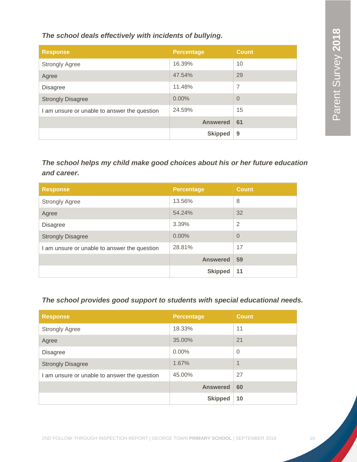*The school deals effectively with incidents of bullying.*

| <b>Response</b>                              | <b>Percentage</b> | <b>Count</b> |
|----------------------------------------------|-------------------|--------------|
| <b>Strongly Agree</b>                        | 16.39%            | 10           |
| Agree                                        | 47.54%            | 29           |
| <b>Disagree</b>                              | 11.48%            | 7            |
| <b>Strongly Disagree</b>                     | $0.00\%$          | $\Omega$     |
| I am unsure or unable to answer the question | 24.59%            | 15           |
|                                              | <b>Answered</b>   | 61           |
|                                              | <b>Skipped</b>    | 9            |

*The school helps my child make good choices about his or her future education and career.*

| <b>Response</b>                              | <b>Percentage</b> | <b>Count</b>   |
|----------------------------------------------|-------------------|----------------|
| <b>Strongly Agree</b>                        | 13.56%            | 8              |
| Agree                                        | 54.24%            | 32             |
| <b>Disagree</b>                              | 3.39%             | $\overline{2}$ |
| <b>Strongly Disagree</b>                     | 0.00%             | $\overline{0}$ |
| I am unsure or unable to answer the question | 28.81%            | 17             |
|                                              | <b>Answered</b>   | 59             |
|                                              | <b>Skipped</b>    | 11             |

*The school provides good support to students with special educational needs.*

| <b>Response</b>                              | <b>Percentage</b> | <b>Count</b>             |
|----------------------------------------------|-------------------|--------------------------|
| <b>Strongly Agree</b>                        | 18.33%            | 11                       |
| Agree                                        | 35.00%            | 21                       |
| <b>Disagree</b>                              | $0.00\%$          | $\overline{0}$           |
| <b>Strongly Disagree</b>                     | 1.67%             | $\overline{\mathcal{A}}$ |
| I am unsure or unable to answer the question | 45.00%            | 27                       |
|                                              | <b>Answered</b>   | 60                       |
|                                              | <b>Skipped</b>    | 10                       |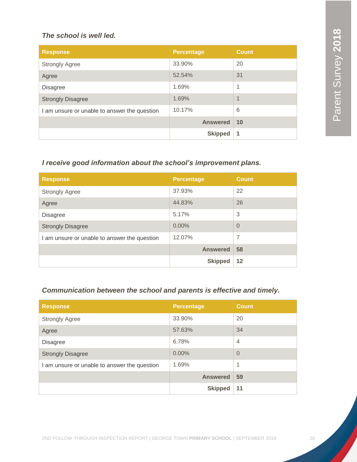#### *The school is well led.*

| <b>Response</b>                              | <b>Percentage</b> | <b>Count</b> |
|----------------------------------------------|-------------------|--------------|
| <b>Strongly Agree</b>                        | 33.90%            | 20           |
| Agree                                        | 52.54%            | 31           |
| <b>Disagree</b>                              | 1.69%             | 1            |
| <b>Strongly Disagree</b>                     | 1.69%             | 1            |
| I am unsure or unable to answer the question | 10.17%            | 6            |
|                                              | <b>Answered</b>   | 10           |
|                                              | <b>Skipped</b>    | 1            |

#### *I receive good information about the school's improvement plans.*

| <b>Response</b>                              | <b>Percentage</b> | <b>Count</b>   |
|----------------------------------------------|-------------------|----------------|
| <b>Strongly Agree</b>                        | 37.93%            | 22             |
| Agree                                        | 44.83%            | 26             |
| <b>Disagree</b>                              | 5.17%             | 3              |
| <b>Strongly Disagree</b>                     | 0.00%             | $\overline{0}$ |
| I am unsure or unable to answer the question | 12.07%            | $\overline{7}$ |
|                                              | <b>Answered</b>   | 58             |
|                                              | <b>Skipped</b>    | 12             |

## *Communication between the school and parents is effective and timely.*

| <b>Response</b>                              | <b>Percentage</b> | <b>Count</b>   |
|----------------------------------------------|-------------------|----------------|
| <b>Strongly Agree</b>                        | 33.90%            | 20             |
| Agree                                        | 57.63%            | 34             |
| <b>Disagree</b>                              | 6.78%             | $\overline{4}$ |
| <b>Strongly Disagree</b>                     | 0.00%             | $\Omega$       |
| I am unsure or unable to answer the question | 1.69%             | 1              |
|                                              | <b>Answered</b>   | 59             |
|                                              | <b>Skipped</b>    | 11             |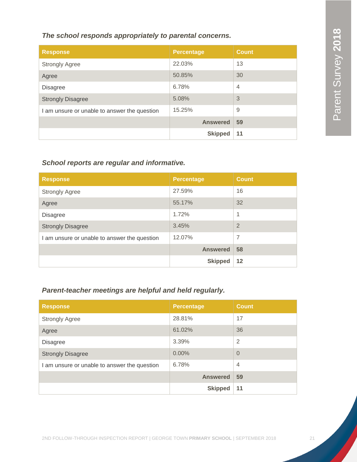#### *The school responds appropriately to parental concerns.*

| <b>Response</b>                              | <b>Percentage</b> | <b>Count</b>   |
|----------------------------------------------|-------------------|----------------|
| <b>Strongly Agree</b>                        | 22.03%            | 13             |
| Agree                                        | 50.85%            | 30             |
| <b>Disagree</b>                              | 6.78%             | $\overline{4}$ |
| <b>Strongly Disagree</b>                     | 5.08%             | 3              |
| I am unsure or unable to answer the question | 15.25%            | 9              |
|                                              | <b>Answered</b>   | 59             |
|                                              | <b>Skipped</b>    | 11             |

## *School reports are regular and informative.*

| <b>Response</b>                              | <b>Percentage</b> | <b>Count</b>   |
|----------------------------------------------|-------------------|----------------|
| <b>Strongly Agree</b>                        | 27.59%            | 16             |
| Agree                                        | 55.17%            | 32             |
| <b>Disagree</b>                              | 1.72%             | 1              |
| <b>Strongly Disagree</b>                     | 3.45%             | $\overline{2}$ |
| I am unsure or unable to answer the question | 12.07%            | $\overline{7}$ |
|                                              | <b>Answered</b>   | 58             |
|                                              | <b>Skipped</b>    | 12             |

# *Parent-teacher meetings are helpful and held regularly.*

| <b>Response</b>                              | <b>Percentage</b> | <b>Count</b>   |
|----------------------------------------------|-------------------|----------------|
| <b>Strongly Agree</b>                        | 28.81%            | 17             |
| Agree                                        | 61.02%            | 36             |
| <b>Disagree</b>                              | 3.39%             | $\overline{2}$ |
| <b>Strongly Disagree</b>                     | 0.00%             | $\Omega$       |
| I am unsure or unable to answer the question | 6.78%             | $\overline{4}$ |
|                                              | <b>Answered</b>   | 59             |
|                                              | <b>Skipped</b>    | 11             |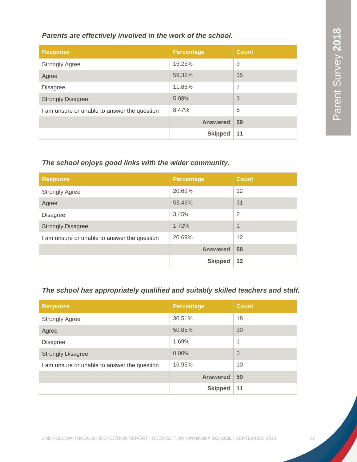#### *Parents are effectively involved in the work of the school.*

| <b>Response</b>                              | <b>Percentage</b> | <b>Count</b> |
|----------------------------------------------|-------------------|--------------|
| <b>Strongly Agree</b>                        | 15.25%            | 9            |
| Agree                                        | 59.32%            | 35           |
| <b>Disagree</b>                              | 11.86%            | 7            |
| <b>Strongly Disagree</b>                     | 5.08%             | 3            |
| I am unsure or unable to answer the question | 8.47%             | 5            |
|                                              | <b>Answered</b>   | 59           |
|                                              | <b>Skipped</b>    | 11           |

## *The school enjoys good links with the wider community.*

| <b>Response</b>                              | <b>Percentage</b> | <b>Count</b>   |
|----------------------------------------------|-------------------|----------------|
| <b>Strongly Agree</b>                        | 20.69%            | 12             |
| Agree                                        | 53.45%            | 31             |
| <b>Disagree</b>                              | 3.45%             | $\overline{2}$ |
| <b>Strongly Disagree</b>                     | 1.72%             | 1              |
| I am unsure or unable to answer the question | 20.69%            | 12             |
|                                              | <b>Answered</b>   | 58             |
|                                              | <b>Skipped</b>    | 12             |

# *The school has appropriately qualified and suitably skilled teachers and staff.*

| <b>Response</b>                              | <b>Percentage</b> | <b>Count</b>   |
|----------------------------------------------|-------------------|----------------|
| <b>Strongly Agree</b>                        | 30.51%            | 18             |
| Agree                                        | 50.85%            | 30             |
| <b>Disagree</b>                              | 1.69%             | 1              |
| <b>Strongly Disagree</b>                     | 0.00%             | $\overline{0}$ |
| I am unsure or unable to answer the question | 16.95%            | 10             |
|                                              | <b>Answered</b>   | 59             |
|                                              | <b>Skipped</b>    | 11             |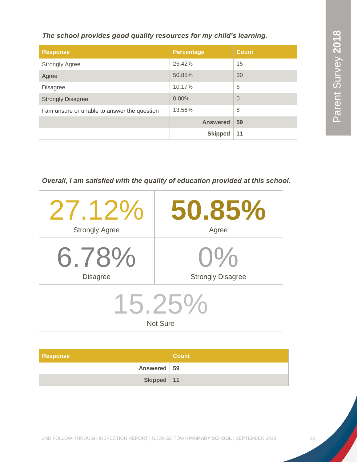*The school provides good quality resources for my child's learning.*

| <b>Response</b>                              | <b>Percentage</b> | <b>Count</b> |
|----------------------------------------------|-------------------|--------------|
| <b>Strongly Agree</b>                        | 25.42%            | 15           |
| Agree                                        | 50.85%            | 30           |
| <b>Disagree</b>                              | 10.17%            | 6            |
| <b>Strongly Disagree</b>                     | 0.00%             | $\Omega$     |
| I am unsure or unable to answer the question | 13.56%            | 8            |
|                                              | <b>Answered</b>   | 59           |
|                                              | <b>Skipped</b>    | 11           |

*Overall, I am satisfied with the quality of education provided at this school.*

| $21.12\%$             | 50.85%                   |  |
|-----------------------|--------------------------|--|
| <b>Strongly Agree</b> | Agree                    |  |
| 6.78%                 | $1\%$                    |  |
| <b>Disagree</b>       | <b>Strongly Disagree</b> |  |
| $.5.25\%$             |                          |  |
| <b>Not Sure</b>       |                          |  |

| <b>Response</b> | <b>Count</b> |
|-----------------|--------------|
| Answered 59     |              |
| Skipped 11      |              |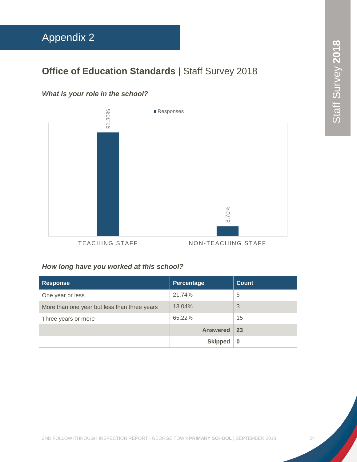# <span id="page-24-0"></span>Appendix 2

# **Office of Education Standards | Staff Survey 2018**

# *What is your role in the school?*



*How long have you worked at this school?*

| <b>Response</b>                              | Percentage      | <b>Count</b> |
|----------------------------------------------|-----------------|--------------|
| One year or less                             | 21.74%          | 5            |
| More than one year but less than three years | 13.04%          | 3            |
| Three years or more                          | 65.22%          | 15           |
|                                              | <b>Answered</b> | 23           |
|                                              | <b>Skipped</b>  | 0            |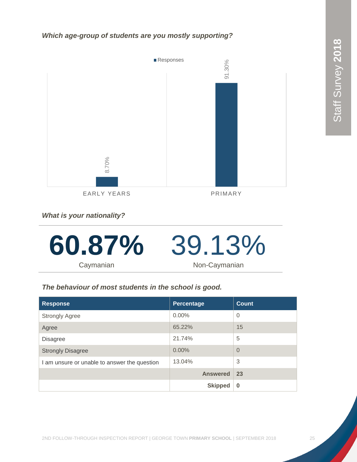*Which age-group of students are you mostly supporting?*



*What is your nationality?*



*The behaviour of most students in the school is good.*

| <b>Response</b>                              | Percentage      | <b>Count</b>   |
|----------------------------------------------|-----------------|----------------|
| <b>Strongly Agree</b>                        | $0.00\%$        | $\overline{0}$ |
| Agree                                        | 65.22%          | 15             |
| <b>Disagree</b>                              | 21.74%          | 5              |
| <b>Strongly Disagree</b>                     | 0.00%           | $\Omega$       |
| I am unsure or unable to answer the question | 13.04%          | 3              |
|                                              | <b>Answered</b> | 23             |
|                                              | <b>Skipped</b>  | $\bf{0}$       |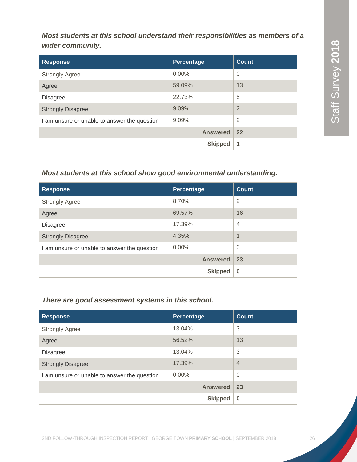*Most students at this school understand their responsibilities as members of a wider community.*

| <b>Response</b>                              | Percentage      | <b>Count</b>   |
|----------------------------------------------|-----------------|----------------|
| <b>Strongly Agree</b>                        | $0.00\%$        | $\overline{0}$ |
| Agree                                        | 59.09%          | 13             |
| <b>Disagree</b>                              | 22.73%          | 5              |
| <b>Strongly Disagree</b>                     | 9.09%           | $\overline{2}$ |
| I am unsure or unable to answer the question | 9.09%           | $\overline{2}$ |
|                                              | <b>Answered</b> | 22             |
|                                              | <b>Skipped</b>  | 1              |

#### *Most students at this school show good environmental understanding.*

| <b>Response</b>                              | Percentage      | <b>Count</b>     |
|----------------------------------------------|-----------------|------------------|
| <b>Strongly Agree</b>                        | 8.70%           | $\overline{2}$   |
| Agree                                        | 69.57%          | 16               |
| <b>Disagree</b>                              | 17.39%          | $\overline{4}$   |
| <b>Strongly Disagree</b>                     | 4.35%           | $\boldsymbol{A}$ |
| I am unsure or unable to answer the question | $0.00\%$        | $\overline{0}$   |
|                                              | <b>Answered</b> | 23               |
|                                              | <b>Skipped</b>  | $\bf{0}$         |

#### *There are good assessment systems in this school.*

| <b>Response</b>                              | Percentage      | Count          |
|----------------------------------------------|-----------------|----------------|
| <b>Strongly Agree</b>                        | 13.04%          | 3              |
| Agree                                        | 56.52%          | 13             |
| <b>Disagree</b>                              | 13.04%          | 3              |
| <b>Strongly Disagree</b>                     | 17.39%          | $\overline{4}$ |
| I am unsure or unable to answer the question | $0.00\%$        | $\Omega$       |
|                                              | <b>Answered</b> | 23             |
|                                              | <b>Skipped</b>  | $\bf{0}$       |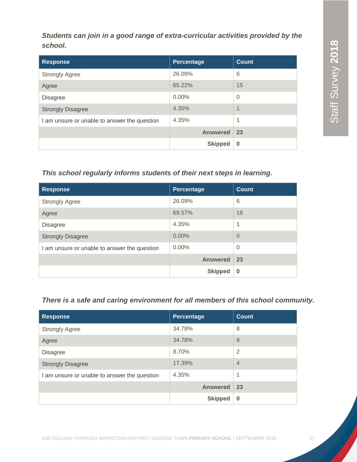*Students can join in a good range of extra-curricular activities provided by the school.*

| <b>Response</b>                              | Percentage      | <b>Count</b>     |
|----------------------------------------------|-----------------|------------------|
| <b>Strongly Agree</b>                        | 26.09%          | 6                |
| Agree                                        | 65.22%          | 15               |
| <b>Disagree</b>                              | $0.00\%$        | $\mathbf 0$      |
| <b>Strongly Disagree</b>                     | 4.35%           | $\boldsymbol{A}$ |
| I am unsure or unable to answer the question | 4.35%           | 1                |
|                                              | <b>Answered</b> | 23               |
|                                              | <b>Skipped</b>  | $\bf{0}$         |

## *This school regularly informs students of their next steps in learning.*

| <b>Response</b>                              | Percentage      | <b>Count</b> |
|----------------------------------------------|-----------------|--------------|
| <b>Strongly Agree</b>                        | 26.09%          | 6            |
| Agree                                        | 69.57%          | 16           |
| <b>Disagree</b>                              | 4.35%           | 1            |
| <b>Strongly Disagree</b>                     | 0.00%           | $\Omega$     |
| I am unsure or unable to answer the question | $0.00\%$        | $\Omega$     |
|                                              | <b>Answered</b> | 23           |
|                                              | <b>Skipped</b>  | $\bf{0}$     |

# *There is a safe and caring environment for all members of this school community.*

| <b>Response</b>                              | <b>Percentage</b> | <b>Count</b>   |
|----------------------------------------------|-------------------|----------------|
| <b>Strongly Agree</b>                        | 34.78%            | 8              |
| Agree                                        | 34.78%            | 8              |
| <b>Disagree</b>                              | 8.70%             | $\overline{2}$ |
| <b>Strongly Disagree</b>                     | 17.39%            | $\overline{4}$ |
| I am unsure or unable to answer the question | 4.35%             | 1              |
|                                              | <b>Answered</b>   | 23             |
|                                              | <b>Skipped</b>    | $\bf{0}$       |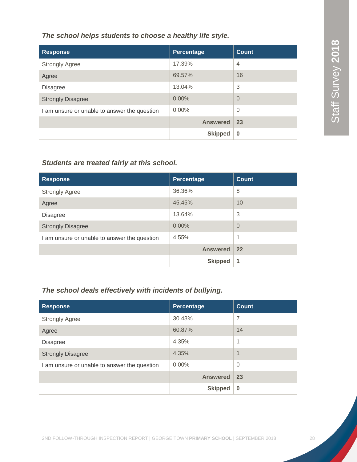*The school helps students to choose a healthy life style.*

| <b>Response</b>                              | Percentage      | <b>Count</b>   |
|----------------------------------------------|-----------------|----------------|
| <b>Strongly Agree</b>                        | 17.39%          | $\overline{4}$ |
| Agree                                        | 69.57%          | 16             |
| <b>Disagree</b>                              | 13.04%          | 3              |
| <b>Strongly Disagree</b>                     | $0.00\%$        | $\Omega$       |
| I am unsure or unable to answer the question | $0.00\%$        | $\overline{0}$ |
|                                              | <b>Answered</b> | 23             |
|                                              | <b>Skipped</b>  | $\bf{0}$       |

#### *Students are treated fairly at this school.*

| <b>Response</b>                              | Percentage      | <b>Count</b>   |
|----------------------------------------------|-----------------|----------------|
| <b>Strongly Agree</b>                        | 36.36%          | 8              |
| Agree                                        | 45.45%          | 10             |
| <b>Disagree</b>                              | 13.64%          | 3              |
| <b>Strongly Disagree</b>                     | 0.00%           | $\overline{0}$ |
| I am unsure or unable to answer the question | 4.55%           | 1              |
|                                              | <b>Answered</b> | 22             |
|                                              | <b>Skipped</b>  | 1              |

# *The school deals effectively with incidents of bullying.*

| <b>Response</b>                              | Percentage      | <b>Count</b>   |
|----------------------------------------------|-----------------|----------------|
| <b>Strongly Agree</b>                        | 30.43%          | 7              |
| Agree                                        | 60.87%          | 14             |
| <b>Disagree</b>                              | 4.35%           | 1              |
| <b>Strongly Disagree</b>                     | 4.35%           | $\overline{1}$ |
| I am unsure or unable to answer the question | $0.00\%$        | $\Omega$       |
|                                              | <b>Answered</b> | 23             |
|                                              | <b>Skipped</b>  | $\bf{0}$       |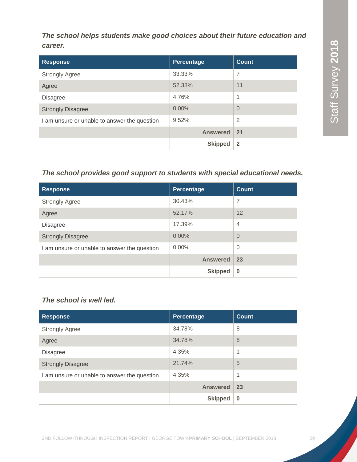*The school helps students make good choices about their future education and career.*

| <b>Response</b>                              | Percentage      | <b>Count</b>   |
|----------------------------------------------|-----------------|----------------|
| <b>Strongly Agree</b>                        | 33.33%          | 7              |
| Agree                                        | 52.38%          | 11             |
| <b>Disagree</b>                              | 4.76%           | 1              |
| <b>Strongly Disagree</b>                     | 0.00%           | $\Omega$       |
| I am unsure or unable to answer the question | 9.52%           | $\overline{2}$ |
|                                              | <b>Answered</b> | 21             |
|                                              | <b>Skipped</b>  | $\overline{2}$ |

#### *The school provides good support to students with special educational needs.*

| <b>Response</b>                              | Percentage      | <b>Count</b>   |
|----------------------------------------------|-----------------|----------------|
| <b>Strongly Agree</b>                        | 30.43%          | $\overline{7}$ |
| Agree                                        | 52.17%          | 12             |
| <b>Disagree</b>                              | 17.39%          | $\overline{4}$ |
| <b>Strongly Disagree</b>                     | $0.00\%$        | $\Omega$       |
| I am unsure or unable to answer the question | $0.00\%$        | $\overline{0}$ |
|                                              | <b>Answered</b> | 23             |
|                                              | <b>Skipped</b>  | $\bf{0}$       |

## *The school is well led.*

| <b>Response</b>                              | Percentage      | <b>Count</b> |
|----------------------------------------------|-----------------|--------------|
| <b>Strongly Agree</b>                        | 34.78%          | 8            |
| Agree                                        | 34.78%          | 8            |
| <b>Disagree</b>                              | 4.35%           | 1            |
| <b>Strongly Disagree</b>                     | 21.74%          | 5            |
| I am unsure or unable to answer the question | 4.35%           | 1            |
|                                              | <b>Answered</b> | 23           |
|                                              | <b>Skipped</b>  | $\bf{0}$     |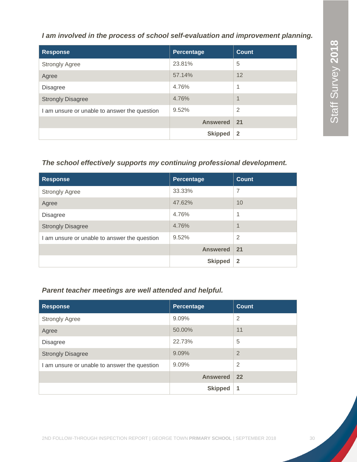#### *I am involved in the process of school self-evaluation and improvement planning.*

| <b>Response</b>                              | Percentage      | <b>Count</b>   |
|----------------------------------------------|-----------------|----------------|
| <b>Strongly Agree</b>                        | 23.81%          | 5              |
| Agree                                        | 57.14%          | 12             |
| <b>Disagree</b>                              | 4.76%           | 1              |
| <b>Strongly Disagree</b>                     | 4.76%           | $\mathbf 1$    |
| I am unsure or unable to answer the question | 9.52%           | $\overline{2}$ |
|                                              | <b>Answered</b> | 21             |
|                                              | <b>Skipped</b>  | $\overline{2}$ |

## *The school effectively supports my continuing professional development.*

| <b>Response</b>                              | Percentage      | <b>Count</b>   |
|----------------------------------------------|-----------------|----------------|
| <b>Strongly Agree</b>                        | 33.33%          | 7              |
| Agree                                        | 47.62%          | 10             |
| <b>Disagree</b>                              | 4.76%           | 1              |
| <b>Strongly Disagree</b>                     | 4.76%           | 1              |
| I am unsure or unable to answer the question | 9.52%           | 2              |
|                                              | <b>Answered</b> | 21             |
|                                              | <b>Skipped</b>  | $\overline{2}$ |

#### *Parent teacher meetings are well attended and helpful.*

| <b>Response</b>                              | Percentage      | <b>Count</b>   |
|----------------------------------------------|-----------------|----------------|
| <b>Strongly Agree</b>                        | 9.09%           | 2              |
| Agree                                        | 50.00%          | 11             |
| <b>Disagree</b>                              | 22.73%          | 5              |
| <b>Strongly Disagree</b>                     | 9.09%           | $\overline{2}$ |
| I am unsure or unable to answer the question | 9.09%           | $\overline{2}$ |
|                                              | <b>Answered</b> | 22             |
|                                              | <b>Skipped</b>  | 1              |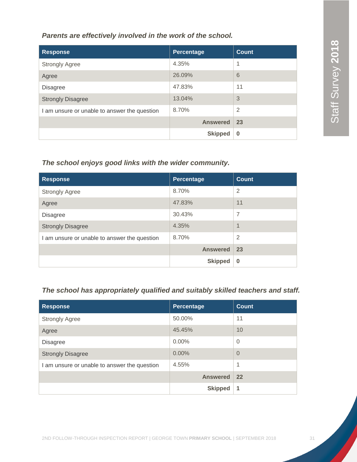*Parents are effectively involved in the work of the school.*

| <b>Response</b>                              | Percentage      | <b>Count</b>   |
|----------------------------------------------|-----------------|----------------|
| <b>Strongly Agree</b>                        | 4.35%           | 1              |
| Agree                                        | 26.09%          | 6              |
| <b>Disagree</b>                              | 47.83%          | 11             |
| <b>Strongly Disagree</b>                     | 13.04%          | 3              |
| I am unsure or unable to answer the question | 8.70%           | $\overline{2}$ |
|                                              | <b>Answered</b> | 23             |
|                                              | <b>Skipped</b>  | $\bf{0}$       |

#### *The school enjoys good links with the wider community.*

| <b>Response</b>                              | Percentage      | <b>Count</b>             |
|----------------------------------------------|-----------------|--------------------------|
| <b>Strongly Agree</b>                        | 8.70%           | $\overline{2}$           |
| Agree                                        | 47.83%          | 11                       |
| <b>Disagree</b>                              | 30.43%          | 7                        |
| <b>Strongly Disagree</b>                     | 4.35%           | $\overline{\mathcal{A}}$ |
| I am unsure or unable to answer the question | 8.70%           | $\overline{2}$           |
|                                              | <b>Answered</b> | 23                       |
|                                              | <b>Skipped</b>  | $\bf{0}$                 |

# *The school has appropriately qualified and suitably skilled teachers and staff.*

| <b>Response</b>                              | Percentage      | <b>Count</b>   |
|----------------------------------------------|-----------------|----------------|
| <b>Strongly Agree</b>                        | 50.00%          | 11             |
| Agree                                        | 45.45%          | 10             |
| Disagree                                     | $0.00\%$        | $\overline{0}$ |
| <b>Strongly Disagree</b>                     | $0.00\%$        | $\overline{0}$ |
| I am unsure or unable to answer the question | 4.55%           | 1              |
|                                              | <b>Answered</b> | 22             |
|                                              | <b>Skipped</b>  | 1              |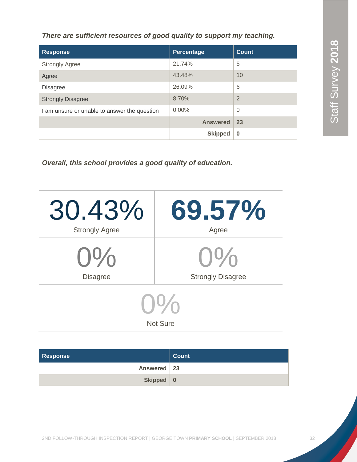Staff Survey 2018 Staff Survey **2018** Staff Survey **2018**

*There are sufficient resources of good quality to support my teaching.*

| <b>Response</b>                              | Percentage      | <b>Count</b>   |
|----------------------------------------------|-----------------|----------------|
| <b>Strongly Agree</b>                        | 21.74%          | 5              |
| Agree                                        | 43.48%          | 10             |
| <b>Disagree</b>                              | 26.09%          | 6              |
| <b>Strongly Disagree</b>                     | 8.70%           | $\overline{2}$ |
| I am unsure or unable to answer the question | $0.00\%$        | $\overline{0}$ |
|                                              | <b>Answered</b> | 23             |
|                                              | <b>Skipped</b>  | $\bf{0}$       |

*Overall, this school provides a good quality of education.*

| 30.43%<br><b>Strongly Agree</b>                                             | 69.57%<br>Agree |  |
|-----------------------------------------------------------------------------|-----------------|--|
| $0\%$                                                                       | $U\%$           |  |
| <b>Strongly Disagree</b><br><b>Disagree</b><br>$U^{\nu}$<br><b>Not Sure</b> |                 |  |

| <b>Response</b> | <b>Count</b> |
|-----------------|--------------|
| Answered   23   |              |
| <b>Skipped</b>  | - 0          |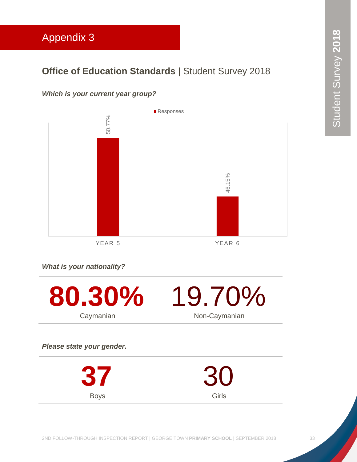# <span id="page-33-0"></span>Appendix 3

# **Office of Education Standards | Student Survey 2018**

# *Which is your current year group?*



YEAR 5 YEAR 6

Girls

*What is your nationality?*

Boys

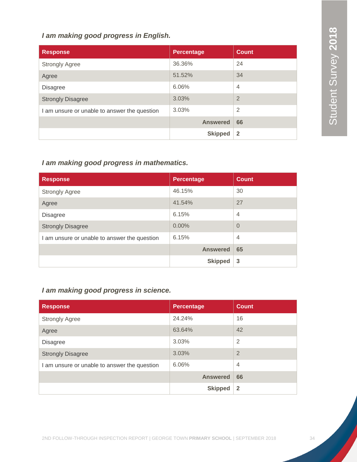#### *I am making good progress in English.*

| <b>Response</b>                              | <b>Percentage</b> | <b>Count</b>   |
|----------------------------------------------|-------------------|----------------|
| <b>Strongly Agree</b>                        | 36.36%            | 24             |
| Agree                                        | 51.52%            | 34             |
| <b>Disagree</b>                              | 6.06%             | $\overline{4}$ |
| <b>Strongly Disagree</b>                     | 3.03%             | $\overline{2}$ |
| I am unsure or unable to answer the question | 3.03%             | $\overline{2}$ |
|                                              | <b>Answered</b>   | 66             |
|                                              | <b>Skipped</b>    | $\overline{2}$ |

## *I am making good progress in mathematics.*

| <b>Response</b>                              | <b>Percentage</b> | <b>Count</b>   |
|----------------------------------------------|-------------------|----------------|
| <b>Strongly Agree</b>                        | 46.15%            | 30             |
| Agree                                        | 41.54%            | 27             |
| <b>Disagree</b>                              | 6.15%             | $\overline{4}$ |
| <b>Strongly Disagree</b>                     | $0.00\%$          | $\Omega$       |
| I am unsure or unable to answer the question | 6.15%             | $\overline{4}$ |
|                                              | <b>Answered</b>   | 65             |
|                                              | <b>Skipped</b>    | 3              |

# *I am making good progress in science.*

| <b>Response</b>                              | <b>Percentage</b> | <b>Count</b>   |
|----------------------------------------------|-------------------|----------------|
| <b>Strongly Agree</b>                        | 24.24%            | 16             |
| Agree                                        | 63.64%            | 42             |
| <b>Disagree</b>                              | 3.03%             | $\overline{2}$ |
| <b>Strongly Disagree</b>                     | 3.03%             | $\overline{2}$ |
| I am unsure or unable to answer the question | 6.06%             | $\overline{4}$ |
|                                              | <b>Answered</b>   | 66             |
|                                              | <b>Skipped</b>    | $\overline{2}$ |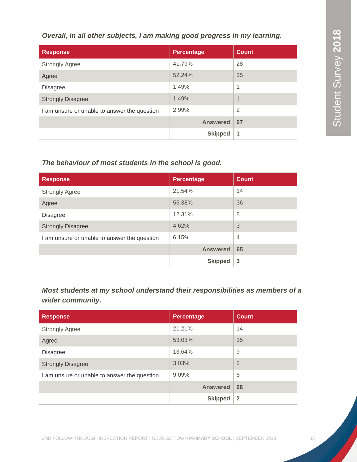*Overall, in all other subjects, I am making good progress in my learning.*

| <b>Response</b>                              | Percentage      | <b>Count</b>   |
|----------------------------------------------|-----------------|----------------|
| <b>Strongly Agree</b>                        | 41.79%          | 28             |
| Agree                                        | 52.24%          | 35             |
| <b>Disagree</b>                              | 1.49%           | 1              |
| <b>Strongly Disagree</b>                     | 1.49%           | $\overline{1}$ |
| I am unsure or unable to answer the question | 2.99%           | $\overline{2}$ |
|                                              | <b>Answered</b> | 67             |
|                                              | <b>Skipped</b>  | 1              |

#### *The behaviour of most students in the school is good.*

| <b>Response</b>                              | <b>Percentage</b> | <b>Count</b>   |
|----------------------------------------------|-------------------|----------------|
| <b>Strongly Agree</b>                        | 21.54%            | 14             |
| Agree                                        | 55.38%            | 36             |
| <b>Disagree</b>                              | 12.31%            | 8              |
| <b>Strongly Disagree</b>                     | 4.62%             | 3              |
| I am unsure or unable to answer the question | 6.15%             | $\overline{4}$ |
|                                              | <b>Answered</b>   | 65             |
|                                              | <b>Skipped</b>    | 3              |

*Most students at my school understand their responsibilities as members of a wider community.*

| <b>Response</b>                              | <b>Percentage</b> | <b>Count</b>   |
|----------------------------------------------|-------------------|----------------|
| <b>Strongly Agree</b>                        | 21.21%            | 14             |
| Agree                                        | 53.03%            | 35             |
| <b>Disagree</b>                              | 13.64%            | 9              |
| <b>Strongly Disagree</b>                     | 3.03%             | 2              |
| I am unsure or unable to answer the question | $9.09\%$          | 6              |
|                                              | <b>Answered</b>   | 66             |
|                                              | <b>Skipped</b>    | $\overline{2}$ |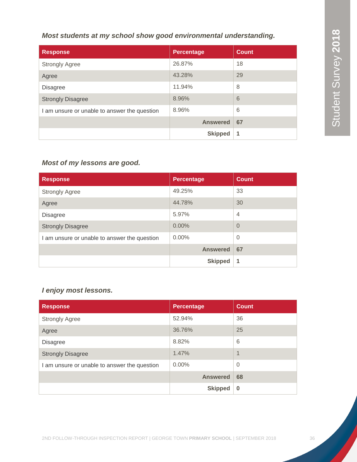#### *Most students at my school show good environmental understanding.*

| <b>Response</b>                              | <b>Percentage</b> | <b>Count</b> |
|----------------------------------------------|-------------------|--------------|
| <b>Strongly Agree</b>                        | 26.87%            | 18           |
| Agree                                        | 43.28%            | 29           |
| <b>Disagree</b>                              | 11.94%            | 8            |
| <b>Strongly Disagree</b>                     | 8.96%             | 6            |
| I am unsure or unable to answer the question | 8.96%             | 6            |
|                                              | <b>Answered</b>   | 67           |
|                                              | <b>Skipped</b>    | 1            |

# *Most of my lessons are good.*

| <b>Response</b>                              | <b>Percentage</b> | <b>Count</b>   |
|----------------------------------------------|-------------------|----------------|
| <b>Strongly Agree</b>                        | 49.25%            | 33             |
| Agree                                        | 44.78%            | 30             |
| <b>Disagree</b>                              | 5.97%             | $\overline{4}$ |
| <b>Strongly Disagree</b>                     | $0.00\%$          | $\Omega$       |
| I am unsure or unable to answer the question | $0.00\%$          | $\Omega$       |
|                                              | <b>Answered</b>   | 67             |
|                                              | <b>Skipped</b>    | 1              |

# *I enjoy most lessons.*

| <b>Response</b>                              | <b>Percentage</b> | <b>Count</b>   |
|----------------------------------------------|-------------------|----------------|
| <b>Strongly Agree</b>                        | 52.94%            | 36             |
| Agree                                        | 36.76%            | 25             |
| <b>Disagree</b>                              | 8.82%             | 6              |
| <b>Strongly Disagree</b>                     | 1.47%             | $\overline{1}$ |
| I am unsure or unable to answer the question | $0.00\%$          | $\Omega$       |
|                                              | <b>Answered</b>   | 68             |
|                                              | <b>Skipped</b>    | $\bf{0}$       |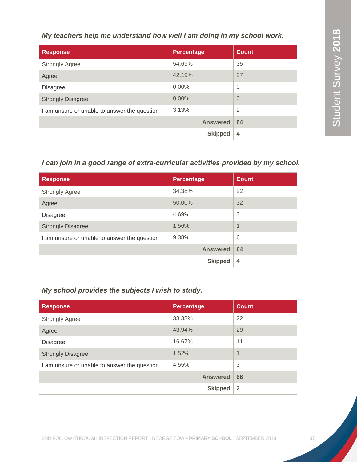*My teachers help me understand how well I am doing in my school work.*

| <b>Response</b>                              | <b>Percentage</b> | <b>Count</b>   |
|----------------------------------------------|-------------------|----------------|
| <b>Strongly Agree</b>                        | 54.69%            | 35             |
| Agree                                        | 42.19%            | 27             |
| <b>Disagree</b>                              | $0.00\%$          | 0              |
| <b>Strongly Disagree</b>                     | 0.00%             | $\overline{0}$ |
| I am unsure or unable to answer the question | 3.13%             | $\overline{2}$ |
|                                              | <b>Answered</b>   | 64             |
|                                              | <b>Skipped</b>    | $\overline{4}$ |

#### *I can join in a good range of extra-curricular activities provided by my school.*

| <b>Response</b>                              | <b>Percentage</b> | <b>Count</b> |
|----------------------------------------------|-------------------|--------------|
| <b>Strongly Agree</b>                        | 34.38%            | 22           |
| Agree                                        | 50.00%            | 32           |
| <b>Disagree</b>                              | 4.69%             | 3            |
| <b>Strongly Disagree</b>                     | 1.56%             | 1            |
| I am unsure or unable to answer the question | 9.38%             | 6            |
|                                              | <b>Answered</b>   | 64           |
|                                              | <b>Skipped</b>    | 4            |

# *My school provides the subjects I wish to study.*

| <b>Response</b>                              | <b>Percentage</b> | <b>Count</b>   |
|----------------------------------------------|-------------------|----------------|
| <b>Strongly Agree</b>                        | 33.33%            | 22             |
| Agree                                        | 43.94%            | 29             |
| <b>Disagree</b>                              | 16.67%            | 11             |
| <b>Strongly Disagree</b>                     | 1.52%             | $\overline{1}$ |
| I am unsure or unable to answer the question | 4.55%             | 3              |
|                                              | <b>Answered</b>   | 66             |
|                                              | <b>Skipped</b>    | $\overline{2}$ |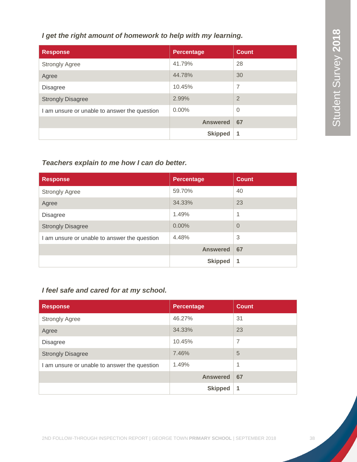#### *I get the right amount of homework to help with my learning.*

| <b>Response</b>                              | Percentage      | <b>Count</b>   |
|----------------------------------------------|-----------------|----------------|
| <b>Strongly Agree</b>                        | 41.79%          | 28             |
| Agree                                        | 44.78%          | 30             |
| <b>Disagree</b>                              | 10.45%          | $\overline{7}$ |
| <b>Strongly Disagree</b>                     | 2.99%           | $\overline{2}$ |
| I am unsure or unable to answer the question | $0.00\%$        | $\overline{0}$ |
|                                              | <b>Answered</b> | 67             |
|                                              | <b>Skipped</b>  | 1              |

## *Teachers explain to me how I can do better.*

| <b>Response</b>                              | <b>Percentage</b> | <b>Count</b> |
|----------------------------------------------|-------------------|--------------|
| <b>Strongly Agree</b>                        | 59.70%            | 40           |
| Agree                                        | 34.33%            | 23           |
| <b>Disagree</b>                              | 1.49%             | 1            |
| <b>Strongly Disagree</b>                     | $0.00\%$          | $\Omega$     |
| I am unsure or unable to answer the question | 4.48%             | 3            |
|                                              | <b>Answered</b>   | 67           |
|                                              | <b>Skipped</b>    | 1            |

# *I feel safe and cared for at my school.*

| <b>Response</b>                              | <b>Percentage</b> | <b>Count</b>   |
|----------------------------------------------|-------------------|----------------|
| <b>Strongly Agree</b>                        | 46.27%            | 31             |
| Agree                                        | 34.33%            | 23             |
| <b>Disagree</b>                              | 10.45%            | $\overline{7}$ |
| <b>Strongly Disagree</b>                     | 7.46%             | 5              |
| I am unsure or unable to answer the question | 1.49%             | 1              |
|                                              | <b>Answered</b>   | 67             |
|                                              | <b>Skipped</b>    | 1              |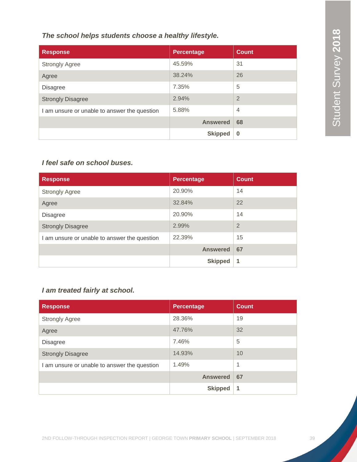*The school helps students choose a healthy lifestyle.*

| <b>Response</b>                              | <b>Percentage</b> | <b>Count</b>   |
|----------------------------------------------|-------------------|----------------|
| <b>Strongly Agree</b>                        | 45.59%            | 31             |
| Agree                                        | 38.24%            | 26             |
| <b>Disagree</b>                              | 7.35%             | 5              |
| <b>Strongly Disagree</b>                     | 2.94%             | $\overline{2}$ |
| I am unsure or unable to answer the question | 5.88%             | $\overline{4}$ |
|                                              | <b>Answered</b>   | 68             |
|                                              | <b>Skipped</b>    | $\bf{0}$       |

## *I feel safe on school buses.*

| <b>Response</b>                              | <b>Percentage</b> | <b>Count</b>   |
|----------------------------------------------|-------------------|----------------|
| <b>Strongly Agree</b>                        | 20.90%            | 14             |
| Agree                                        | 32.84%            | 22             |
| <b>Disagree</b>                              | 20.90%            | 14             |
| <b>Strongly Disagree</b>                     | 2.99%             | $\overline{2}$ |
| I am unsure or unable to answer the question | 22.39%            | 15             |
|                                              | <b>Answered</b>   | 67             |
|                                              | <b>Skipped</b>    | 1              |

# *I am treated fairly at school.*

| <b>Response</b>                              | <b>Percentage</b> | <b>Count</b> |
|----------------------------------------------|-------------------|--------------|
| <b>Strongly Agree</b>                        | 28.36%            | 19           |
| Agree                                        | 47.76%            | 32           |
| <b>Disagree</b>                              | 7.46%             | 5            |
| <b>Strongly Disagree</b>                     | 14.93%            | 10           |
| I am unsure or unable to answer the question | 1.49%             | 1            |
|                                              | <b>Answered</b>   | 67           |
|                                              | <b>Skipped</b>    | 1            |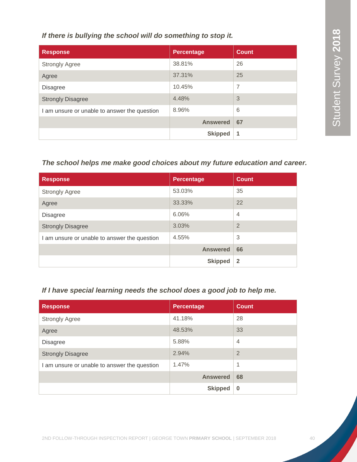*If there is bullying the school will do something to stop it.*

| <b>Response</b>                              | <b>Percentage</b> | <b>Count</b> |
|----------------------------------------------|-------------------|--------------|
| <b>Strongly Agree</b>                        | 38.81%            | 26           |
| Agree                                        | 37.31%            | 25           |
| <b>Disagree</b>                              | 10.45%            | 7            |
| <b>Strongly Disagree</b>                     | 4.48%             | 3            |
| I am unsure or unable to answer the question | 8.96%             | 6            |
|                                              | <b>Answered</b>   | 67           |
|                                              | <b>Skipped</b>    | 1            |

#### *The school helps me make good choices about my future education and career.*

| <b>Response</b>                              | <b>Percentage</b> | <b>Count</b>   |
|----------------------------------------------|-------------------|----------------|
| <b>Strongly Agree</b>                        | 53.03%            | 35             |
| Agree                                        | 33.33%            | 22             |
| <b>Disagree</b>                              | 6.06%             | $\overline{4}$ |
| <b>Strongly Disagree</b>                     | 3.03%             | $\overline{2}$ |
| I am unsure or unable to answer the question | 4.55%             | 3              |
|                                              | <b>Answered</b>   | 66             |
|                                              | <b>Skipped</b>    | $\mathbf{2}$   |

# *If I have special learning needs the school does a good job to help me.*

| <b>Response</b>                              | Percentage      | <b>Count</b>   |
|----------------------------------------------|-----------------|----------------|
| <b>Strongly Agree</b>                        | 41.18%          | 28             |
| Agree                                        | 48.53%          | 33             |
| <b>Disagree</b>                              | 5.88%           | 4              |
| <b>Strongly Disagree</b>                     | 2.94%           | $\overline{2}$ |
| I am unsure or unable to answer the question | 1.47%           | 1              |
|                                              | <b>Answered</b> | 68             |
|                                              | <b>Skipped</b>  | $\bf{0}$       |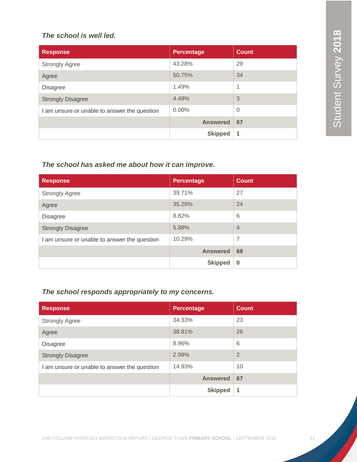#### *The school is well led.*

| <b>Response</b>                              | <b>Percentage</b> | <b>Count</b>   |
|----------------------------------------------|-------------------|----------------|
| <b>Strongly Agree</b>                        | 43.28%            | 29             |
| Agree                                        | 50.75%            | 34             |
| <b>Disagree</b>                              | 1.49%             | 1              |
| <b>Strongly Disagree</b>                     | 4.48%             | 3              |
| I am unsure or unable to answer the question | $0.00\%$          | $\overline{0}$ |
|                                              | <b>Answered</b>   | 67             |
|                                              | <b>Skipped</b>    | 1              |

# *The school has asked me about how it can improve.*

| <b>Response</b>                              | <b>Percentage</b> | <b>Count</b>   |
|----------------------------------------------|-------------------|----------------|
| <b>Strongly Agree</b>                        | 39.71%            | 27             |
| Agree                                        | 35.29%            | 24             |
| <b>Disagree</b>                              | 8.82%             | 6              |
| <b>Strongly Disagree</b>                     | 5.88%             | $\overline{4}$ |
| I am unsure or unable to answer the question | 10.29%            | 7              |
|                                              | <b>Answered</b>   | 68             |
|                                              | <b>Skipped</b>    | $\bf{0}$       |

## *The school responds appropriately to my concerns.*

| <b>Response</b>                              | <b>Percentage</b> | <b>Count</b>   |
|----------------------------------------------|-------------------|----------------|
| <b>Strongly Agree</b>                        | 34.33%            | 23             |
| Agree                                        | 38.81%            | 26             |
| <b>Disagree</b>                              | 8.96%             | 6              |
| <b>Strongly Disagree</b>                     | 2.99%             | $\overline{2}$ |
| I am unsure or unable to answer the question | 14.93%            | 10             |
|                                              | <b>Answered</b>   | 67             |
|                                              | <b>Skipped</b>    | 1              |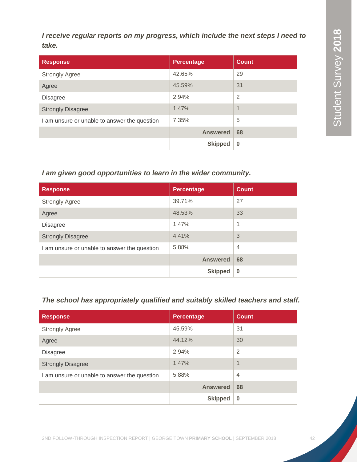*I receive regular reports on my progress, which include the next steps I need to take.*

| <b>Response</b>                              | <b>Percentage</b> | <b>Count</b> |
|----------------------------------------------|-------------------|--------------|
| <b>Strongly Agree</b>                        | 42.65%            | 29           |
| Agree                                        | 45.59%            | 31           |
| <b>Disagree</b>                              | 2.94%             | 2            |
| <b>Strongly Disagree</b>                     | 1.47%             | 1            |
| I am unsure or unable to answer the question | 7.35%             | 5            |
|                                              | <b>Answered</b>   | 68           |
|                                              | <b>Skipped</b>    | $\bf{0}$     |

## *I am given good opportunities to learn in the wider community.*

| <b>Response</b>                              | <b>Percentage</b> | <b>Count</b>   |
|----------------------------------------------|-------------------|----------------|
| <b>Strongly Agree</b>                        | 39.71%            | 27             |
| Agree                                        | 48.53%            | 33             |
| <b>Disagree</b>                              | 1.47%             | 1              |
| <b>Strongly Disagree</b>                     | 4.41%             | 3              |
| I am unsure or unable to answer the question | 5.88%             | $\overline{4}$ |
|                                              | <b>Answered</b>   | 68             |
|                                              | <b>Skipped</b>    | $\bf{0}$       |

#### *The school has appropriately qualified and suitably skilled teachers and staff.*

| <b>Response</b>                              | <b>Percentage</b> | <b>Count</b>   |
|----------------------------------------------|-------------------|----------------|
| <b>Strongly Agree</b>                        | 45.59%            | 31             |
| Agree                                        | 44.12%            | 30             |
| <b>Disagree</b>                              | 2.94%             | $\overline{2}$ |
| <b>Strongly Disagree</b>                     | 1.47%             | $\overline{1}$ |
| I am unsure or unable to answer the question | 5.88%             | $\overline{4}$ |
|                                              | <b>Answered</b>   | 68             |
|                                              | <b>Skipped</b>    | $\bf{0}$       |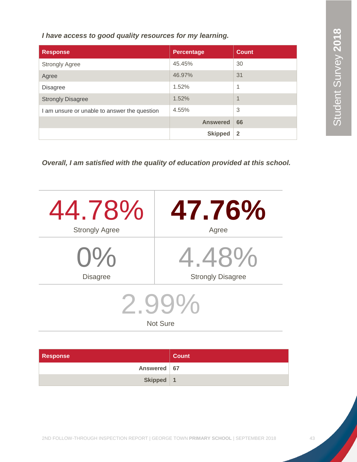*I have access to good quality resources for my learning.*

| <b>Response</b>                              | <b>Percentage</b> | <b>Count</b>   |
|----------------------------------------------|-------------------|----------------|
| <b>Strongly Agree</b>                        | 45.45%            | 30             |
| Agree                                        | 46.97%            | 31             |
| <b>Disagree</b>                              | 1.52%             | 1              |
| <b>Strongly Disagree</b>                     | 1.52%             | 1              |
| I am unsure or unable to answer the question | 4.55%             | 3              |
|                                              | <b>Answered</b>   | 66             |
|                                              | <b>Skipped</b>    | $\overline{2}$ |

*Overall, I am satisfied with the quality of education provided at this school.*

| 44.78%                         | 47.76%                   |  |
|--------------------------------|--------------------------|--|
| <b>Strongly Agree</b>          | Agree                    |  |
| $O\%$                          | 4.48%                    |  |
| <b>Disagree</b>                | <b>Strongly Disagree</b> |  |
| $2$ gg $\%$<br><b>Not Sure</b> |                          |  |

| <b>Response</b> | Count |
|-----------------|-------|
| Answered   67   |       |
| Skipped   1     |       |